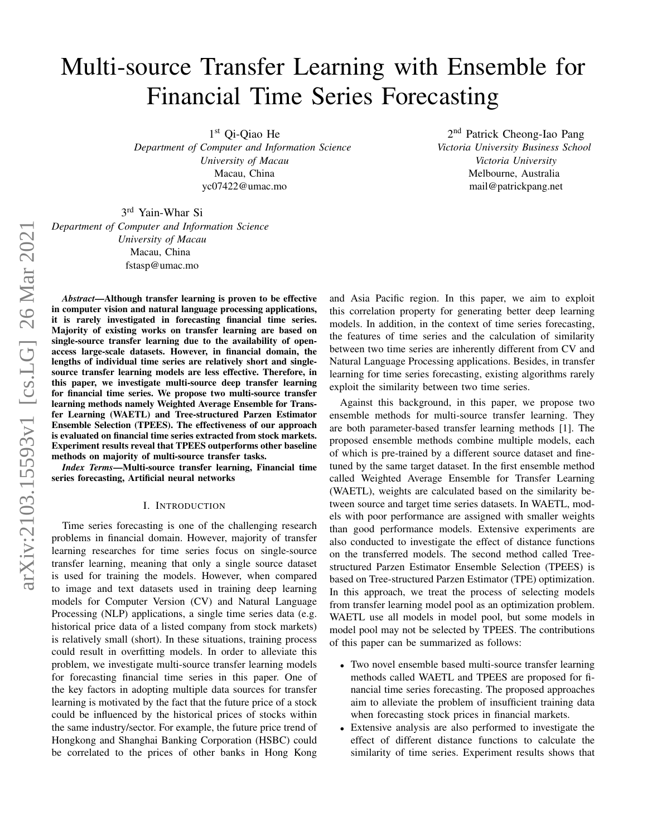# Multi-source Transfer Learning with Ensemble for Financial Time Series Forecasting

1 st Qi-Qiao He

*Department of Computer and Information Science University of Macau* Macau, China yc07422@umac.mo

2<sup>nd</sup> Patrick Cheong-Iao Pang *Victoria University Business School Victoria University* Melbourne, Australia mail@patrickpang.net

3 rd Yain-Whar Si *Department of Computer and Information Science*

> *University of Macau* Macau, China fstasp@umac.mo

*Abstract*—Although transfer learning is proven to be effective in computer vision and natural language processing applications, it is rarely investigated in forecasting financial time series. Majority of existing works on transfer learning are based on single-source transfer learning due to the availability of openaccess large-scale datasets. However, in financial domain, the lengths of individual time series are relatively short and singlesource transfer learning models are less effective. Therefore, in this paper, we investigate multi-source deep transfer learning for financial time series. We propose two multi-source transfer learning methods namely Weighted Average Ensemble for Transfer Learning (WAETL) and Tree-structured Parzen Estimator Ensemble Selection (TPEES). The effectiveness of our approach is evaluated on financial time series extracted from stock markets. Experiment results reveal that TPEES outperforms other baseline methods on majority of multi-source transfer tasks.

*Index Terms*—Multi-source transfer learning, Financial time series forecasting, Artificial neural networks

#### I. INTRODUCTION

Time series forecasting is one of the challenging research problems in financial domain. However, majority of transfer learning researches for time series focus on single-source transfer learning, meaning that only a single source dataset is used for training the models. However, when compared to image and text datasets used in training deep learning models for Computer Version (CV) and Natural Language Processing (NLP) applications, a single time series data (e.g. historical price data of a listed company from stock markets) is relatively small (short). In these situations, training process could result in overfitting models. In order to alleviate this problem, we investigate multi-source transfer learning models for forecasting financial time series in this paper. One of the key factors in adopting multiple data sources for transfer learning is motivated by the fact that the future price of a stock could be influenced by the historical prices of stocks within the same industry/sector. For example, the future price trend of Hongkong and Shanghai Banking Corporation (HSBC) could be correlated to the prices of other banks in Hong Kong and Asia Pacific region. In this paper, we aim to exploit this correlation property for generating better deep learning models. In addition, in the context of time series forecasting, the features of time series and the calculation of similarity between two time series are inherently different from CV and Natural Language Processing applications. Besides, in transfer learning for time series forecasting, existing algorithms rarely exploit the similarity between two time series.

Against this background, in this paper, we propose two ensemble methods for multi-source transfer learning. They are both parameter-based transfer learning methods [\[1\]](#page-6-0). The proposed ensemble methods combine multiple models, each of which is pre-trained by a different source dataset and finetuned by the same target dataset. In the first ensemble method called Weighted Average Ensemble for Transfer Learning (WAETL), weights are calculated based on the similarity between source and target time series datasets. In WAETL, models with poor performance are assigned with smaller weights than good performance models. Extensive experiments are also conducted to investigate the effect of distance functions on the transferred models. The second method called Treestructured Parzen Estimator Ensemble Selection (TPEES) is based on Tree-structured Parzen Estimator (TPE) optimization. In this approach, we treat the process of selecting models from transfer learning model pool as an optimization problem. WAETL use all models in model pool, but some models in model pool may not be selected by TPEES. The contributions of this paper can be summarized as follows:

- Two novel ensemble based multi-source transfer learning methods called WAETL and TPEES are proposed for financial time series forecasting. The proposed approaches aim to alleviate the problem of insufficient training data when forecasting stock prices in financial markets.
- Extensive analysis are also performed to investigate the effect of different distance functions to calculate the similarity of time series. Experiment results shows that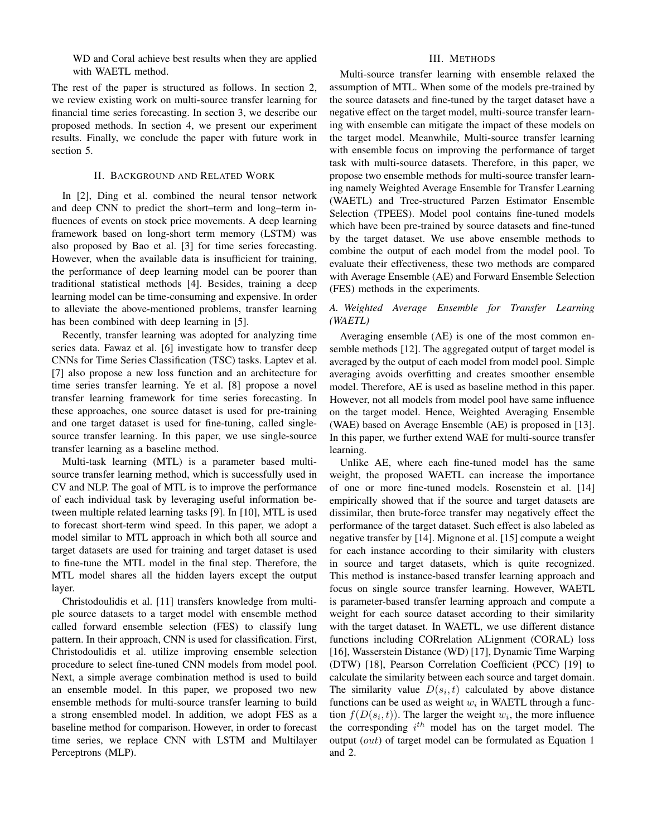WD and Coral achieve best results when they are applied with WAETL method.

The rest of the paper is structured as follows. In section 2, we review existing work on multi-source transfer learning for financial time series forecasting. In section 3, we describe our proposed methods. In section 4, we present our experiment results. Finally, we conclude the paper with future work in section 5.

## II. BACKGROUND AND RELATED WORK

In [\[2\]](#page-6-1), Ding et al. combined the neural tensor network and deep CNN to predict the short–term and long–term influences of events on stock price movements. A deep learning framework based on long-short term memory (LSTM) was also proposed by Bao et al. [\[3\]](#page-6-2) for time series forecasting. However, when the available data is insufficient for training, the performance of deep learning model can be poorer than traditional statistical methods [\[4\]](#page-6-3). Besides, training a deep learning model can be time-consuming and expensive. In order to alleviate the above-mentioned problems, transfer learning has been combined with deep learning in [\[5\]](#page-6-4).

Recently, transfer learning was adopted for analyzing time series data. Fawaz et al. [\[6\]](#page-6-5) investigate how to transfer deep CNNs for Time Series Classification (TSC) tasks. Laptev et al. [\[7\]](#page-6-6) also propose a new loss function and an architecture for time series transfer learning. Ye et al. [\[8\]](#page-6-7) propose a novel transfer learning framework for time series forecasting. In these approaches, one source dataset is used for pre-training and one target dataset is used for fine-tuning, called singlesource transfer learning. In this paper, we use single-source transfer learning as a baseline method.

Multi-task learning (MTL) is a parameter based multisource transfer learning method, which is successfully used in CV and NLP. The goal of MTL is to improve the performance of each individual task by leveraging useful information between multiple related learning tasks [\[9\]](#page-6-8). In [\[10\]](#page-6-9), MTL is used to forecast short-term wind speed. In this paper, we adopt a model similar to MTL approach in which both all source and target datasets are used for training and target dataset is used to fine-tune the MTL model in the final step. Therefore, the MTL model shares all the hidden layers except the output layer.

Christodoulidis et al. [\[11\]](#page-6-10) transfers knowledge from multiple source datasets to a target model with ensemble method called forward ensemble selection (FES) to classify lung pattern. In their approach, CNN is used for classification. First, Christodoulidis et al. utilize improving ensemble selection procedure to select fine-tuned CNN models from model pool. Next, a simple average combination method is used to build an ensemble model. In this paper, we proposed two new ensemble methods for multi-source transfer learning to build a strong ensembled model. In addition, we adopt FES as a baseline method for comparison. However, in order to forecast time series, we replace CNN with LSTM and Multilayer Perceptrons (MLP).

## III. METHODS

Multi-source transfer learning with ensemble relaxed the assumption of MTL. When some of the models pre-trained by the source datasets and fine-tuned by the target dataset have a negative effect on the target model, multi-source transfer learning with ensemble can mitigate the impact of these models on the target model. Meanwhile, Multi-source transfer learning with ensemble focus on improving the performance of target task with multi-source datasets. Therefore, in this paper, we propose two ensemble methods for multi-source transfer learning namely Weighted Average Ensemble for Transfer Learning (WAETL) and Tree-structured Parzen Estimator Ensemble Selection (TPEES). Model pool contains fine-tuned models which have been pre-trained by source datasets and fine-tuned by the target dataset. We use above ensemble methods to combine the output of each model from the model pool. To evaluate their effectiveness, these two methods are compared with Average Ensemble (AE) and Forward Ensemble Selection (FES) methods in the experiments.

## *A. Weighted Average Ensemble for Transfer Learning (WAETL)*

Averaging ensemble (AE) is one of the most common ensemble methods [\[12\]](#page-6-11). The aggregated output of target model is averaged by the output of each model from model pool. Simple averaging avoids overfitting and creates smoother ensemble model. Therefore, AE is used as baseline method in this paper. However, not all models from model pool have same influence on the target model. Hence, Weighted Averaging Ensemble (WAE) based on Average Ensemble (AE) is proposed in [\[13\]](#page-6-12). In this paper, we further extend WAE for multi-source transfer learning.

Unlike AE, where each fine-tuned model has the same weight, the proposed WAETL can increase the importance of one or more fine-tuned models. Rosenstein et al. [\[14\]](#page-6-13) empirically showed that if the source and target datasets are dissimilar, then brute-force transfer may negatively effect the performance of the target dataset. Such effect is also labeled as negative transfer by [\[14\]](#page-6-13). Mignone et al. [\[15\]](#page-6-14) compute a weight for each instance according to their similarity with clusters in source and target datasets, which is quite recognized. This method is instance-based transfer learning approach and focus on single source transfer learning. However, WAETL is parameter-based transfer learning approach and compute a weight for each source dataset according to their similarity with the target dataset. In WAETL, we use different distance functions including CORrelation ALignment (CORAL) loss [\[16\]](#page-6-15), Wasserstein Distance (WD) [\[17\]](#page-6-16), Dynamic Time Warping (DTW) [\[18\]](#page-6-17), Pearson Correlation Coefficient (PCC) [\[19\]](#page-6-18) to calculate the similarity between each source and target domain. The similarity value  $D(s_i, t)$  calculated by above distance functions can be used as weight  $w_i$  in WAETL through a function  $f(D(s_i, t))$ . The larger the weight  $w_i$ , the more influence the corresponding  $i^{th}$  model has on the target model. The output (out) of target model can be formulated as Equation [1](#page-2-0) and [2.](#page-2-1)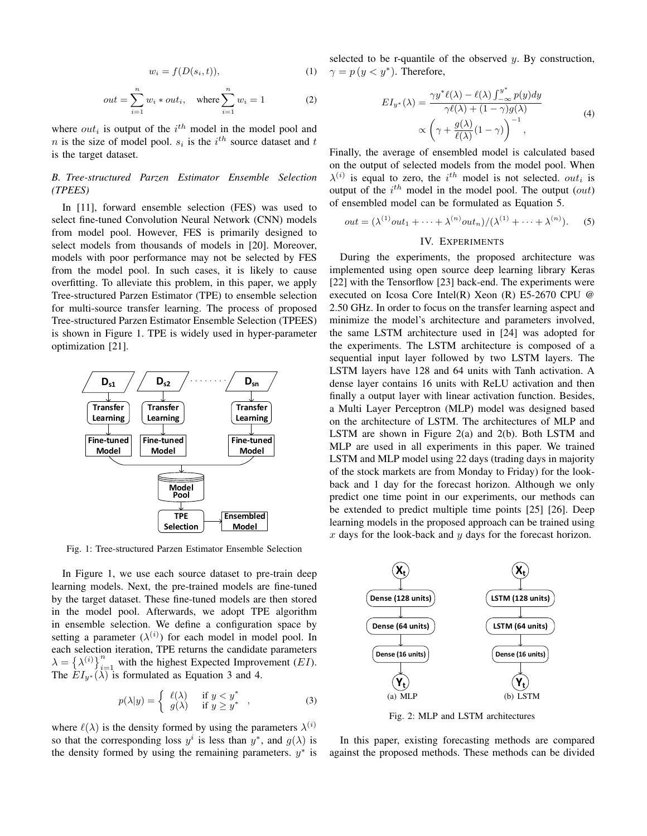<span id="page-2-0"></span>
$$
w_i = f(D(s_i, t)),\tag{1}
$$

<span id="page-2-1"></span>
$$
out = \sum_{i=1}^{n} w_i * out_i, \quad \text{where } \sum_{i=1}^{n} w_i = 1 \tag{2}
$$

where  $out_i$  is output of the  $i^{th}$  model in the model pool and *n* is the size of model pool.  $s_i$  is the  $i^{th}$  source dataset and t is the target dataset.

# *B. Tree-structured Parzen Estimator Ensemble Selection (TPEES)*

In [\[11\]](#page-6-10), forward ensemble selection (FES) was used to select fine-tuned Convolution Neural Network (CNN) models from model pool. However, FES is primarily designed to select models from thousands of models in [\[20\]](#page-6-19). Moreover, models with poor performance may not be selected by FES from the model pool. In such cases, it is likely to cause overfitting. To alleviate this problem, in this paper, we apply Tree-structured Parzen Estimator (TPE) to ensemble selection for multi-source transfer learning. The process of proposed Tree-structured Parzen Estimator Ensemble Selection (TPEES) is shown in Figure [1.](#page-2-2) TPE is widely used in hyper-parameter optimization [\[21\]](#page-6-20).

<span id="page-2-2"></span>

Fig. 1: Tree-structured Parzen Estimator Ensemble Selection

In Figure [1,](#page-2-2) we use each source dataset to pre-train deep learning models. Next, the pre-trained models are fine-tuned by the target dataset. These fine-tuned models are then stored in the model pool. Afterwards, we adopt TPE algorithm in ensemble selection. We define a configuration space by setting a parameter  $(\lambda^{(i)})$  for each model in model pool. In each selection iteration, TPE returns the candidate parameters  $\lambda = {\lambda^{(i)}}_{i=1}^n$  with the highest Expected Improvement (*EI*). The  $EI_{y^*}(\lambda)$  is formulated as Equation [3](#page-2-3) and [4.](#page-2-4)

<span id="page-2-3"></span>
$$
p(\lambda|y) = \begin{cases} \ell(\lambda) & \text{if } y < y^* \\ g(\lambda) & \text{if } y \ge y^* \end{cases},
$$
 (3)

where  $\ell(\lambda)$  is the density formed by using the parameters  $\lambda^{(i)}$ so that the corresponding loss  $y^i$  is less than  $y^*$ , and  $g(\lambda)$  is the density formed by using the remaining parameters.  $y^*$  is selected to be r-quantile of the observed  $y$ . By construction,  $\gamma = p(y < y^*)$ . Therefore,

<span id="page-2-4"></span>
$$
EI_{y^*}(\lambda) = \frac{\gamma y^* \ell(\lambda) - \ell(\lambda) \int_{-\infty}^{y^*} p(y) dy}{\gamma \ell(\lambda) + (1 - \gamma) g(\lambda)}
$$
  
 
$$
\propto \left(\gamma + \frac{g(\lambda)}{\ell(\lambda)} (1 - \gamma)\right)^{-1},
$$
 (4)

Finally, the average of ensembled model is calculated based on the output of selected models from the model pool. When  $\lambda^{(i)}$  is equal to zero, the i<sup>th</sup> model is not selected. *out<sub>i</sub>* is output of the  $i^{th}$  model in the model pool. The output  $(out)$ of ensembled model can be formulated as Equation [5.](#page-2-5)

<span id="page-2-5"></span>
$$
out = (\lambda^{(1)}out_1 + \dots + \lambda^{(n)}out_n)/(\lambda^{(1)} + \dots + \lambda^{(n)}).
$$
 (5)

### IV. EXPERIMENTS

During the experiments, the proposed architecture was implemented using open source deep learning library Keras [\[22\]](#page-6-21) with the Tensorflow [\[23\]](#page-6-22) back-end. The experiments were executed on Icosa Core Intel(R) Xeon (R) E5-2670 CPU @ 2.50 GHz. In order to focus on the transfer learning aspect and minimize the model's architecture and parameters involved, the same LSTM architecture used in [\[24\]](#page-6-23) was adopted for the experiments. The LSTM architecture is composed of a sequential input layer followed by two LSTM layers. The LSTM layers have 128 and 64 units with Tanh activation. A dense layer contains 16 units with ReLU activation and then finally a output layer with linear activation function. Besides, a Multi Layer Perceptron (MLP) model was designed based on the architecture of LSTM. The architectures of MLP and LSTM are shown in Figure [2\(a\)](#page-2-6) and [2\(b\).](#page-2-7) Both LSTM and MLP are used in all experiments in this paper. We trained LSTM and MLP model using 22 days (trading days in majority of the stock markets are from Monday to Friday) for the lookback and 1 day for the forecast horizon. Although we only predict one time point in our experiments, our methods can be extended to predict multiple time points [\[25\]](#page-6-24) [\[26\]](#page-6-25). Deep learning models in the proposed approach can be trained using  $x$  days for the look-back and  $y$  days for the forecast horizon.

<span id="page-2-6"></span>

<span id="page-2-7"></span>Fig. 2: MLP and LSTM architectures

In this paper, existing forecasting methods are compared against the proposed methods. These methods can be divided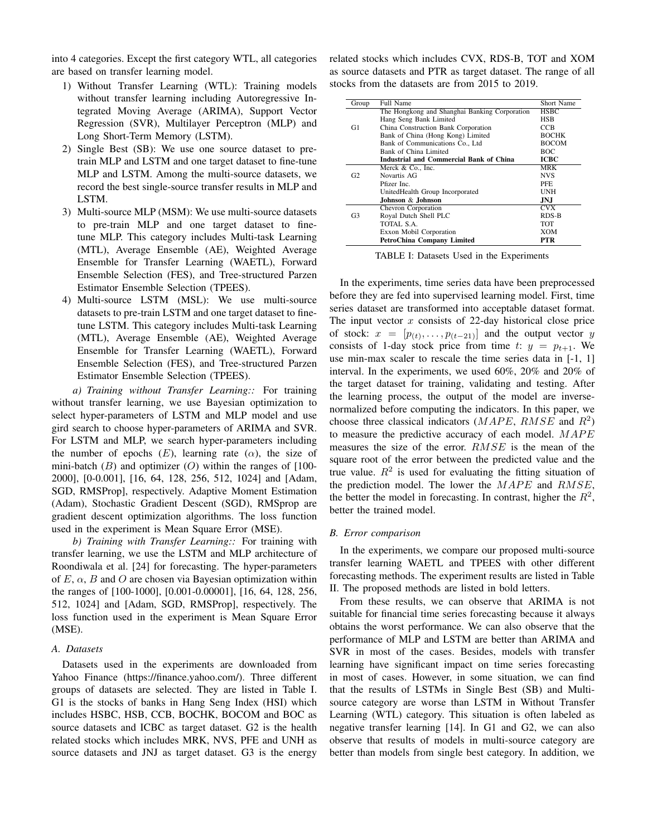into 4 categories. Except the first category WTL, all categories are based on transfer learning model.

- 1) Without Transfer Learning (WTL): Training models without transfer learning including Autoregressive Integrated Moving Average (ARIMA), Support Vector Regression (SVR), Multilayer Perceptron (MLP) and Long Short-Term Memory (LSTM).
- 2) Single Best (SB): We use one source dataset to pretrain MLP and LSTM and one target dataset to fine-tune MLP and LSTM. Among the multi-source datasets, we record the best single-source transfer results in MLP and LSTM.
- 3) Multi-source MLP (MSM): We use multi-source datasets to pre-train MLP and one target dataset to finetune MLP. This category includes Multi-task Learning (MTL), Average Ensemble (AE), Weighted Average Ensemble for Transfer Learning (WAETL), Forward Ensemble Selection (FES), and Tree-structured Parzen Estimator Ensemble Selection (TPEES).
- 4) Multi-source LSTM (MSL): We use multi-source datasets to pre-train LSTM and one target dataset to finetune LSTM. This category includes Multi-task Learning (MTL), Average Ensemble (AE), Weighted Average Ensemble for Transfer Learning (WAETL), Forward Ensemble Selection (FES), and Tree-structured Parzen Estimator Ensemble Selection (TPEES).

*a) Training without Transfer Learning::* For training without transfer learning, we use Bayesian optimization to select hyper-parameters of LSTM and MLP model and use gird search to choose hyper-parameters of ARIMA and SVR. For LSTM and MLP, we search hyper-parameters including the number of epochs  $(E)$ , learning rate  $(\alpha)$ , the size of mini-batch  $(B)$  and optimizer  $(O)$  within the ranges of [100-2000], [0-0.001], [16, 64, 128, 256, 512, 1024] and [Adam, SGD, RMSProp], respectively. Adaptive Moment Estimation (Adam), Stochastic Gradient Descent (SGD), RMSprop are gradient descent optimization algorithms. The loss function used in the experiment is Mean Square Error (MSE).

*b) Training with Transfer Learning::* For training with transfer learning, we use the LSTM and MLP architecture of Roondiwala et al. [\[24\]](#page-6-23) for forecasting. The hyper-parameters of  $E$ ,  $\alpha$ ,  $B$  and  $O$  are chosen via Bayesian optimization within the ranges of [100-1000], [0.001-0.00001], [16, 64, 128, 256, 512, 1024] and [Adam, SGD, RMSProp], respectively. The loss function used in the experiment is Mean Square Error (MSE).

## *A. Datasets*

Datasets used in the experiments are downloaded from Yahoo Finance [\(https://finance.yahoo.com/\)](https://finance.yahoo.com/). Three different groups of datasets are selected. They are listed in Table [I.](#page-3-0) G1 is the stocks of banks in Hang Seng Index (HSI) which includes HSBC, HSB, CCB, BOCHK, BOCOM and BOC as source datasets and ICBC as target dataset. G2 is the health related stocks which includes MRK, NVS, PFE and UNH as source datasets and JNJ as target dataset. G3 is the energy related stocks which includes CVX, RDS-B, TOT and XOM as source datasets and PTR as target dataset. The range of all stocks from the datasets are from 2015 to 2019.

<span id="page-3-0"></span>

| Group          | Full Name                                     | Short Name   |
|----------------|-----------------------------------------------|--------------|
|                | The Hongkong and Shanghai Banking Corporation | <b>HSBC</b>  |
|                | Hang Seng Bank Limited                        | HSB          |
| G1             | China Construction Bank Corporation           | CCB          |
|                | Bank of China (Hong Kong) Limited             | <b>BOCHK</b> |
|                | Bank of Communications Co., Ltd               | <b>BOCOM</b> |
|                | Bank of China Limited                         | BOC.         |
|                | Industrial and Commercial Bank of China       | ІСВС         |
|                | Merck & Co., Inc.                             | <b>MRK</b>   |
| G <sub>2</sub> | Novartis AG                                   | <b>NVS</b>   |
|                | Pfizer Inc.                                   | PFE.         |
|                | UnitedHealth Group Incorporated               | UNH          |
|                | Johnson & Johnson                             | JNJ.         |
|                | Chevron Corporation                           | CVX          |
| G3             | Royal Dutch Shell PLC                         | RDS-B        |
|                | TOTAL S.A.                                    | TOT          |
|                | Exxon Mobil Corporation                       | XOM          |
|                | <b>PetroChina Company Limited</b>             | PTR          |

TABLE I: Datasets Used in the Experiments

In the experiments, time series data have been preprocessed before they are fed into supervised learning model. First, time series dataset are transformed into acceptable dataset format. The input vector  $x$  consists of 22-day historical close price of stock:  $x = [p_{(t)}, \dots, p_{(t-21)}]$  and the output vector y consists of 1-day stock price from time t:  $y = p_{t+1}$ . We use min-max scaler to rescale the time series data in [-1, 1] interval. In the experiments, we used 60%, 20% and 20% of the target dataset for training, validating and testing. After the learning process, the output of the model are inversenormalized before computing the indicators. In this paper, we choose three classical indicators ( $MAPE$ ,  $RMSE$  and  $R^2$ ) to measure the predictive accuracy of each model.  $MAPE$ measures the size of the error. RMSE is the mean of the square root of the error between the predicted value and the true value.  $R^2$  is used for evaluating the fitting situation of the prediction model. The lower the  $MAPE$  and  $RMSE$ , the better the model in forecasting. In contrast, higher the  $R^2$ , better the trained model.

#### *B. Error comparison*

In the experiments, we compare our proposed multi-source transfer learning WAETL and TPEES with other different forecasting methods. The experiment results are listed in Table [II.](#page-4-0) The proposed methods are listed in bold letters.

From these results, we can observe that ARIMA is not suitable for financial time series forecasting because it always obtains the worst performance. We can also observe that the performance of MLP and LSTM are better than ARIMA and SVR in most of the cases. Besides, models with transfer learning have significant impact on time series forecasting in most of cases. However, in some situation, we can find that the results of LSTMs in Single Best (SB) and Multisource category are worse than LSTM in Without Transfer Learning (WTL) category. This situation is often labeled as negative transfer learning [\[14\]](#page-6-13). In G1 and G2, we can also observe that results of models in multi-source category are better than models from single best category. In addition, we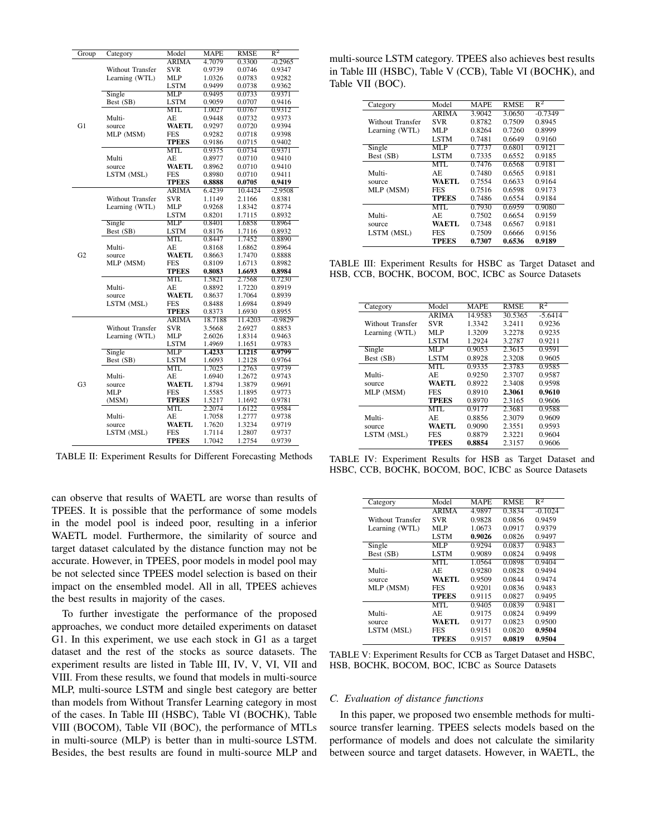<span id="page-4-0"></span>

| Group          | Category         | Model        | MAPE    | RMSE    | $\mathbb{R}^2$ |
|----------------|------------------|--------------|---------|---------|----------------|
|                |                  | <b>ARIMA</b> | 4.7079  | 0.3300  | $-0.2965$      |
|                | Without Transfer | <b>SVR</b>   | 0.9739  | 0.0746  | 0.9347         |
|                | Learning (WTL)   | MLP          | 1.0326  | 0.0783  | 0.9282         |
|                |                  | LSTM         | 0.9499  | 0.0738  | 0.9362         |
|                | Single           | <b>MLP</b>   | 0.9495  | 0.0733  | 0.9371         |
|                | Best (SB)        | LSTM         | 0.9059  | 0.0707  | 0.9416         |
|                |                  | <b>MTL</b>   | 1.0027  | 0.0767  | 0.9312         |
|                | Multi-           | AE           | 0.9448  | 0.0732  | 0.9373         |
| G1             | source           | <b>WAETL</b> | 0.9297  | 0.0720  | 0.9394         |
|                | MLP (MSM)        | <b>FES</b>   | 0.9282  | 0.0718  | 0.9398         |
|                |                  | <b>TPEES</b> | 0.9186  | 0.0715  | 0.9402         |
|                |                  | <b>MTL</b>   | 0.9375  | 0.0734  | 0.9371         |
|                | Multi            | AE           | 0.8977  | 0.0710  | 0.9410         |
|                | source           | <b>WAETL</b> | 0.8962  | 0.0710  | 0.9410         |
|                | LSTM (MSL)       | <b>FES</b>   | 0.8980  | 0.0710  | 0.9411         |
|                |                  | <b>TPEES</b> | 0.8888  | 0.0705  | 0.9419         |
|                |                  | <b>ARIMA</b> | 6.4239  | 10.4424 | $-2.9508$      |
|                | Without Transfer | <b>SVR</b>   | 1.1149  | 2.1166  | 0.8381         |
|                | Learning (WTL)   | MLP          | 0.9268  | 1.8342  | 0.8774         |
|                |                  | <b>LSTM</b>  | 0.8201  | 1.7115  | 0.8932         |
|                | Single           | MLP          | 0.8401  | 1.6858  | 0.8964         |
|                | Best (SB)        | <b>LSTM</b>  | 0.8176  | 1.7116  | 0.8932         |
|                |                  | <b>MTL</b>   | 0.8447  | 1.7452  | 0.8890         |
|                | Multi-           | AE           | 0.8168  | 1.6862  | 0.8964         |
| G <sub>2</sub> | source           | <b>WAETL</b> | 0.8663  | 1.7470  | 0.8888         |
|                | MLP (MSM)        | FES          | 0.8109  | 1.6713  | 0.8982         |
|                |                  | <b>TPEES</b> | 0.8083  | 1.6693  | 0.8984         |
|                |                  | <b>MTL</b>   | 1.5821  | 2.7568  | 0.7230         |
|                | Multi-           | AE           | 0.8892  | 1.7220  | 0.8919         |
|                | source           | <b>WAETL</b> | 0.8637  | 1.7064  | 0.8939         |
|                | LSTM (MSL)       | <b>FES</b>   | 0.8488  | 1.6984  | 0.8949         |
|                |                  | <b>TPEES</b> | 0.8373  | 1.6930  | 0.8955         |
|                |                  | <b>ARIMA</b> | 18.7188 | 11.4203 | $-0.9829$      |
|                | Without Transfer | SVR          | 3.5668  | 2.6927  | 0.8853         |
|                | Learning (WTL)   | MLP          | 2.6026  | 1.8314  | 0.9463         |
|                |                  | <b>LSTM</b>  | 1.4969  | 1.1651  | 0.9783         |
|                | Single           | MLP          | 1.4233  | 1.1215  | 0.9799         |
|                | Best (SB)        | <b>LSTM</b>  | 1.6093  | 1.2128  | 0.9764         |
|                |                  | <b>MTL</b>   | 1.7025  | 1.2763  | 0.9739         |
|                | Multi-           | AE           | 1.6940  | 1.2672  | 0.9743         |
|                |                  | <b>WAETL</b> | 1.8794  | 1.3879  | 0.9691         |
| G3             | source           | <b>FES</b>   | 1.5585  |         |                |
|                | MLP              |              |         | 1.1895  | 0.9773         |
|                | (MSM)            | <b>TPEES</b> | 1.5217  | 1.1692  | 0.9781         |
|                |                  | <b>MTL</b>   | 2.2074  | 1.6122  | 0.9584         |
|                | Multi-           | AE           | 1.7058  | 1.2777  | 0.9738         |
|                | source           | <b>WAETL</b> | 1.7620  | 1.3234  | 0.9719         |
|                | LSTM (MSL)       | FES          | 1.7114  | 1.2807  | 0.9737         |
|                |                  | <b>TPEES</b> | 1.7042  | 1.2754  | 0.9739         |

TABLE II: Experiment Results for Different Forecasting Methods

can observe that results of WAETL are worse than results of TPEES. It is possible that the performance of some models in the model pool is indeed poor, resulting in a inferior WAETL model. Furthermore, the similarity of source and target dataset calculated by the distance function may not be accurate. However, in TPEES, poor models in model pool may be not selected since TPEES model selection is based on their impact on the ensembled model. All in all, TPEES achieves the best results in majority of the cases.

To further investigate the performance of the proposed approaches, we conduct more detailed experiments on dataset G1. In this experiment, we use each stock in G1 as a target dataset and the rest of the stocks as source datasets. The experiment results are listed in Table [III,](#page-4-1) [IV,](#page-4-2) [V,](#page-4-3) [VI,](#page-5-0) [VII](#page-5-1) and [VIII.](#page-5-2) From these results, we found that models in multi-source MLP, multi-source LSTM and single best category are better than models from Without Transfer Learning category in most of the cases. In Table [III](#page-4-1) (HSBC), Table [VI](#page-5-0) (BOCHK), Table [VIII](#page-5-2) (BOCOM), Table [VII](#page-5-1) (BOC), the performance of MTLs in multi-source (MLP) is better than in multi-source LSTM. Besides, the best results are found in multi-source MLP and

multi-source LSTM category. TPEES also achieves best results in Table [III](#page-4-1) (HSBC), Table [V](#page-4-3) (CCB), Table [VI](#page-5-0) (BOCHK), and Table [VII](#page-5-1) (BOC).

<span id="page-4-1"></span>

| Category         | Model        | <b>MAPE</b> | <b>RMSE</b> | $R^2$     |
|------------------|--------------|-------------|-------------|-----------|
|                  | <b>ARIMA</b> | 3.9042      | 3.0650      | $-0.7349$ |
| Without Transfer | SVR          | 0.8782      | 0.7509      | 0.8945    |
| Learning (WTL)   | MLP          | 0.8264      | 0.7260      | 0.8999    |
|                  | <b>LSTM</b>  | 0.7481      | 0.6649      | 0.9160    |
| Single           | MLP          | 0.7737      | 0.6801      | 0.9121    |
| Best (SB)        | <b>LSTM</b>  | 0.7335      | 0.6552      | 0.9185    |
|                  | MTL          | 0.7476      | 0.6568      | 0.9181    |
| Multi-           | AE.          | 0.7480      | 0.6565      | 0.9181    |
| source           | WAETL        | 0.7554      | 0.6633      | 0.9164    |
| MLP (MSM)        | <b>FES</b>   | 0.7516      | 0.6598      | 0.9173    |
|                  | <b>TPEES</b> | 0.7486      | 0.6554      | 0.9184    |
|                  | MTL          | 0.7930      | 0.6959      | 0.9080    |
| Multi-           | AE           | 0.7502      | 0.6654      | 0.9159    |
| source           | <b>WAETL</b> | 0.7348      | 0.6567      | 0.9181    |
| LSTM (MSL)       | FES          | 0.7509      | 0.6666      | 0.9156    |
|                  | TPEES        | 0.7307      | 0.6536      | 0.9189    |

TABLE III: Experiment Results for HSBC as Target Dataset and HSB, CCB, BOCHK, BOCOM, BOC, ICBC as Source Datasets

<span id="page-4-2"></span>

| Category         | Model        | MAPE    | <b>RMSE</b> | $R^2$     |
|------------------|--------------|---------|-------------|-----------|
|                  | <b>ARIMA</b> | 14.9583 | 30.5365     | $-5.6414$ |
| Without Transfer | <b>SVR</b>   | 1.3342  | 3.2411      | 0.9236    |
| Learning (WTL)   | ML P         | 1.3209  | 3.2278      | 0.9235    |
|                  | <b>LSTM</b>  | 1.2924  | 3.2787      | 0.9211    |
| Single           | MLP          | 0.9053  | 2.3615      | 0.9591    |
| Best (SB)        | <b>LSTM</b>  | 0.8928  | 2.3208      | 0.9605    |
|                  | MTL          | 0.9335  | 2.3783      | 0.9585    |
| Multi-           | AE.          | 0.9250  | 2.3707      | 0.9587    |
| source           | WAETL        | 0.8922  | 2.3408      | 0.9598    |
| MLP (MSM)        | <b>FES</b>   | 0.8910  | 2.3061      | 0.9610    |
|                  | <b>TPEES</b> | 0.8970  | 2.3165      | 0.9606    |
|                  | MTL          | 0.9177  | 2.3681      | 0.9588    |
| Multi-           | AE.          | 0.8856  | 2.3079      | 0.9609    |
| source           | WAETL        | 0.9090  | 2.3551      | 0.9593    |
| LSTM (MSL)       | <b>FES</b>   | 0.8879  | 2.3221      | 0.9604    |
|                  | TPEES        | 0.8854  | 2.3157      | 0.9606    |

TABLE IV: Experiment Results for HSB as Target Dataset and HSBC, CCB, BOCHK, BOCOM, BOC, ICBC as Source Datasets

<span id="page-4-3"></span>

| Model        | <b>MAPE</b> | <b>RMSE</b> | $R^2$     |
|--------------|-------------|-------------|-----------|
| <b>ARIMA</b> | 4.9897      | 0.3834      | $-0.1024$ |
| <b>SVR</b>   | 0.9828      | 0.0856      | 0.9459    |
| MLP          | 1.0673      | 0.0917      | 0.9379    |
| <b>LSTM</b>  | 0.9026      | 0.0826      | 0.9497    |
| MLP          | 0.9294      | 0.0837      | 0.9483    |
| <b>LSTM</b>  | 0.9089      | 0.0824      | 0.9498    |
| MTL          | 1.0564      | 0.0898      | 0.9404    |
| AE.          | 0.9280      | 0.0828      | 0.9494    |
| WAETL        | 0.9509      | 0.0844      | 0.9474    |
| <b>FES</b>   | 0.9201      | 0.0836      | 0.9483    |
| <b>TPEES</b> | 0.9115      | 0.0827      | 0.9495    |
| MTL          | 0.9405      | 0.0839      | 0.9481    |
| AE.          | 0.9175      | 0.0824      | 0.9499    |
| WAETL        | 0.9177      | 0.0823      | 0.9500    |
| <b>FES</b>   | 0.9151      | 0.0820      | 0.9504    |
| <b>TPEES</b> | 0.9157      | 0.0819      | 0.9504    |
|              |             |             |           |

TABLE V: Experiment Results for CCB as Target Dataset and HSBC, HSB, BOCHK, BOCOM, BOC, ICBC as Source Datasets

#### *C. Evaluation of distance functions*

In this paper, we proposed two ensemble methods for multisource transfer learning. TPEES selects models based on the performance of models and does not calculate the similarity between source and target datasets. However, in WAETL, the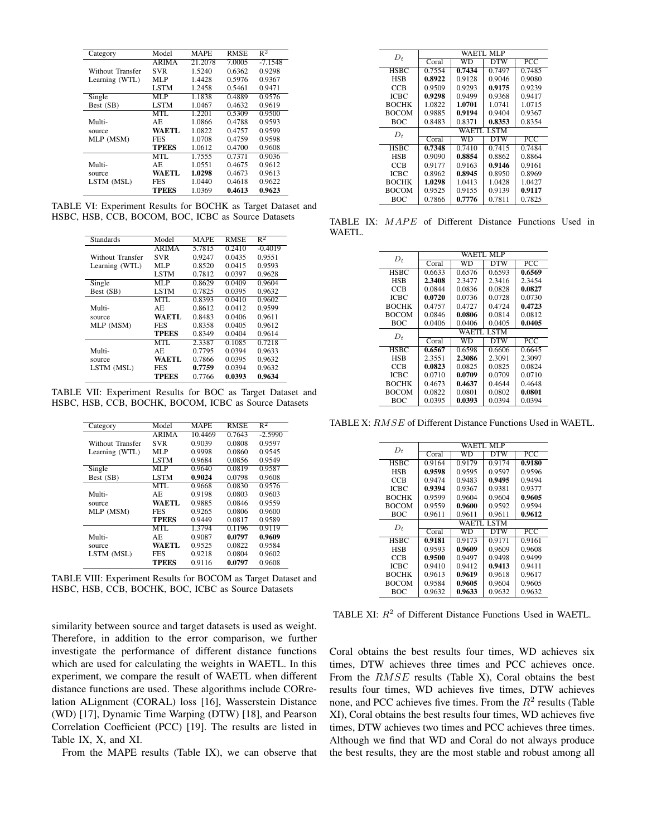<span id="page-5-0"></span>

| Category         | Model        | <b>MAPE</b> | <b>RMSE</b> | $R^2$     |
|------------------|--------------|-------------|-------------|-----------|
|                  | <b>ARIMA</b> | 21.2078     | 7.0005      | $-7.1548$ |
| Without Transfer | <b>SVR</b>   | 1.5240      | 0.6362      | 0.9298    |
| Learning (WTL)   | MLP          | 1.4428      | 0.5976      | 0.9367    |
|                  | <b>LSTM</b>  | 1.2458      | 0.5461      | 0.9471    |
| Single           | MLP          | 1.1838      | 0.4889      | 0.9576    |
| Best (SB)        | <b>LSTM</b>  | 1.0467      | 0.4632      | 0.9619    |
|                  | MTL          | 1.2201      | 0.5309      | 0.9500    |
| Multi-           | AE.          | 1.0866      | 0.4788      | 0.9593    |
| source           | WA ETL       | 1.0822      | 0.4757      | 0.9599    |
| MLP (MSM)        | FES          | 1.0708      | 0.4759      | 0.9598    |
|                  | <b>TPEES</b> | 1.0612      | 0.4700      | 0.9608    |
|                  | MTL          | 1.7555      | 0.7371      | 0.9036    |
| Multi-           | AE.          | 1.0551      | 0.4675      | 0.9612    |
| source           | WAETL        | 1.0298      | 0.4673      | 0.9613    |
| LSTM (MSL)       | FES          | 1.0440      | 0.4618      | 0.9622    |
|                  | TPEES        | 1.0369      | 0.4613      | 0.9623    |

<span id="page-5-1"></span>TABLE VI: Experiment Results for BOCHK as Target Dataset and HSBC, HSB, CCB, BOCOM, BOC, ICBC as Source Datasets

| Model        | <b>MAPE</b> | <b>RMSE</b> | $\overline{\mathsf{R}^2}$ |
|--------------|-------------|-------------|---------------------------|
| <b>ARIMA</b> | 5.7815      | 0.2410      | $-0.4019$                 |
| <b>SVR</b>   | 0.9247      | 0.0435      | 0.9551                    |
| MLP          | 0.8520      | 0.0415      | 0.9593                    |
| LSTM         | 0.7812      | 0.0397      | 0.9628                    |
| MLP          | 0.8629      | 0.0409      | 0.9604                    |
| LSTM         | 0.7825      | 0.0395      | 0.9632                    |
| MTL          | 0.8393      | 0.0410      | 0.9602                    |
| AE.          | 0.8612      | 0.0412      | 0.9599                    |
| <b>WAETL</b> | 0.8483      | 0.0406      | 0.9611                    |
| <b>FES</b>   | 0.8358      | 0.0405      | 0.9612                    |
| TPEES        | 0.8349      | 0.0404      | 0.9614                    |
| MTL          | 2.3387      | 0.1085      | 0.7218                    |
| AE.          | 0.7795      | 0.0394      | 0.9633                    |
| WAETL.       | 0.7866      | 0.0395      | 0.9632                    |
| <b>FES</b>   | 0.7759      | 0.0394      | 0.9632                    |
| TPEES        | 0.7766      | 0.0393      | 0.9634                    |
|              |             |             |                           |

<span id="page-5-2"></span>TABLE VII: Experiment Results for BOC as Target Dataset and HSBC, HSB, CCB, BOCHK, BOCOM, ICBC as Source Datasets

| Category         | Model        | <b>MAPE</b> | <b>RMSE</b> | $R^2$     |
|------------------|--------------|-------------|-------------|-----------|
|                  |              |             |             |           |
|                  | <b>ARIMA</b> | 10.4469     | 0.7643      | $-2.5990$ |
| Without Transfer | <b>SVR</b>   | 0.9039      | 0.0808      | 0.9597    |
| Learning (WTL)   | MLP          | 0.9998      | 0.0860      | 0.9545    |
|                  | <b>LSTM</b>  | 0.9684      | 0.0856      | 0.9549    |
| Single           | MLP          | 0.9640      | 0.0819      | 0.9587    |
| Best (SB)        | <b>LSTM</b>  | 0.9024      | 0.0798      | 0.9608    |
|                  | MTL          | 0.9668      | 0.0830      | 0.9576    |
| Multi-           | AE.          | 0.9198      | 0.0803      | 0.9603    |
| source           | WA ETL       | 0.9885      | 0.0846      | 0.9559    |
| MLP (MSM)        | <b>FES</b>   | 0.9265      | 0.0806      | 0.9600    |
|                  | <b>TPEES</b> | 0.9449      | 0.0817      | 0.9589    |
|                  | MTL          | 1.3794      | 0.1196      | 0.9119    |
| Multi-           | AE.          | 0.9087      | 0.0797      | 0.9609    |
| source           | <b>WAETL</b> | 0.9525      | 0.0822      | 0.9584    |
| LSTM (MSL)       | <b>FES</b>   | 0.9218      | 0.0804      | 0.9602    |
|                  | TPEES        | 0.9116      | 0.0797      | 0.9608    |

TABLE VIII: Experiment Results for BOCOM as Target Dataset and HSBC, HSB, CCB, BOCHK, BOC, ICBC as Source Datasets

similarity between source and target datasets is used as weight. Therefore, in addition to the error comparison, we further investigate the performance of different distance functions which are used for calculating the weights in WAETL. In this experiment, we compare the result of WAETL when different distance functions are used. These algorithms include CORrelation ALignment (CORAL) loss [\[16\]](#page-6-15), Wasserstein Distance (WD) [\[17\]](#page-6-16), Dynamic Time Warping (DTW) [\[18\]](#page-6-17), and Pearson Correlation Coefficient (PCC) [\[19\]](#page-6-18). The results are listed in Table [IX,](#page-5-3) [X,](#page-5-4) and [XI.](#page-5-5)

From the MAPE results (Table [IX\)](#page-5-3), we can observe that

<span id="page-5-3"></span>

| $D_t$        | WAETL MLP  |        |        |                  |  |  |  |
|--------------|------------|--------|--------|------------------|--|--|--|
|              | Coral      | WD     | DTW    | $\overline{PCC}$ |  |  |  |
| <b>HSBC</b>  | 0.7554     | 0.7434 | 0.7497 | 0.7485           |  |  |  |
| <b>HSB</b>   | 0.8922     | 0.9128 | 0.9046 | 0.9080           |  |  |  |
| CCB          | 0.9509     | 0.9293 | 0.9175 | 0.9239           |  |  |  |
| <b>ICBC</b>  | 0.9298     | 0.9499 | 0.9368 | 0.9417           |  |  |  |
| <b>BOCHK</b> | 1.0822     | 1.0701 | 1.0741 | 1.0715           |  |  |  |
| <b>BOCOM</b> | 0.9885     | 0.9194 | 0.9404 | 0.9367           |  |  |  |
| BOC.         | 0.8483     | 0.8371 | 0.8353 | 0.8354           |  |  |  |
| $D_t$        | WAETL LSTM |        |        |                  |  |  |  |
|              | Coral      | WD     | DTW    | PCC              |  |  |  |
| <b>HSBC</b>  | 0.7348     | 0.7410 | 0.7415 | 0.7484           |  |  |  |
| <b>HSB</b>   | 0.9090     | 0.8854 | 0.8862 | 0.8864           |  |  |  |
| CCB          | 0.9177     | 0.9163 | 0.9146 | 0.9161           |  |  |  |
| ICBC         | 0.8962     | 0.8945 | 0.8950 | 0.8969           |  |  |  |
| <b>BOCHK</b> | 1.0298     | 1.0413 | 1.0428 | 1.0427           |  |  |  |
| <b>BOCOM</b> | 0.9525     | 0.9155 | 0.9139 | 0.9117           |  |  |  |
| BOC.         | 0.7866     | 0.7776 | 0.7811 | 0.7825           |  |  |  |

<span id="page-5-4"></span>TABLE IX: MAPE of Different Distance Functions Used in WAETL.

| $D_t$        | WAETI. MLP |        |        |                           |  |  |
|--------------|------------|--------|--------|---------------------------|--|--|
|              | Coral      | WD     | DTW    | PCC                       |  |  |
| <b>HSBC</b>  | 0.6633     | 0.6576 | 0.6593 | 0.6569                    |  |  |
| <b>HSB</b>   | 2.3408     | 2.3477 | 2.3416 | 2.3454                    |  |  |
| CCB          | 0.0844     | 0.0836 | 0.0828 | 0.0827                    |  |  |
| ICBC         | 0.0720     | 0.0736 | 0.0728 | 0.0730                    |  |  |
| <b>BOCHK</b> | 0.4757     | 0.4727 | 0.4724 | 0.4723                    |  |  |
| <b>BOCOM</b> | 0.0846     | 0.0806 | 0.0814 | 0.0812                    |  |  |
| <b>BOC</b>   | 0.0406     | 0.0406 | 0.0405 | 0.0405                    |  |  |
| $D_t$        | WAETL LSTM |        |        |                           |  |  |
|              | Coral      | wn     | DTW    | $\overline{\mathrm{PCC}}$ |  |  |
| <b>HSBC</b>  | 0.6567     | 0.6598 | 0.6606 | 0.6645                    |  |  |
| <b>HSB</b>   | 2.3551     | 2.3086 | 2.3091 | 2.3097                    |  |  |
| CCB          | 0.0823     | 0.0825 | 0.0825 | 0.0824                    |  |  |
| ICBC         | 0.0710     | 0.0709 | 0.0709 | 0.0710                    |  |  |
| <b>BOCHK</b> | 0.4673     | 0.4637 | 0.4644 | 0.4648                    |  |  |
| <b>BOCOM</b> | 0.0822     | 0.0801 | 0.0802 | 0.0801                    |  |  |
| BOC          | 0.0395     | 0.0393 | 0.0394 | 0.0394                    |  |  |

<span id="page-5-5"></span>TABLE X: RMSE of Different Distance Functions Used in WAETL.

| $D_t$        | WAETL MLP  |        |                         |                           |  |  |
|--------------|------------|--------|-------------------------|---------------------------|--|--|
|              | Coral      | wn     | $\overline{\text{DTW}}$ | $\overline{\mathrm{PCC}}$ |  |  |
| <b>HSBC</b>  | 0.9164     | 0.9179 | 0.9174                  | 0.9180                    |  |  |
| <b>HSB</b>   | 0.9598     | 0.9595 | 0.9597                  | 0.9596                    |  |  |
| CCB          | 0.9474     | 0.9483 | 0.9495                  | 0.9494                    |  |  |
| <b>ICBC</b>  | 0.9394     | 0.9367 | 0.9381                  | 0.9377                    |  |  |
| <b>BOCHK</b> | 0.9599     | 0.9604 | 0.9604                  | 0.9605                    |  |  |
| <b>BOCOM</b> | 0.9559     | 0.9600 | 0.9592                  | 0.9594                    |  |  |
| <b>BOC</b>   | 0.9611     | 0.9611 | 0.9611                  | 0.9612                    |  |  |
| $D_t$        | WAETL LSTM |        |                         |                           |  |  |
|              | Coral      | WD     | DTW                     | PCC                       |  |  |
| <b>HSBC</b>  | 0.9181     | 0.9173 | 0.9171                  | 0.9161                    |  |  |
| <b>HSB</b>   | 0.9593     | 0.9609 | 0.9609                  | 0.9608                    |  |  |
| CCB          | 0.9500     | 0.9497 | 0.9498                  | 0.9499                    |  |  |
| <b>ICBC</b>  | 0.9410     | 0.9412 | 0.9413                  | 0.9411                    |  |  |
| <b>BOCHK</b> | 0.9613     | 0.9619 | 0.9618                  | 0.9617                    |  |  |
| BOCOM        | 0.9584     | 0.9605 | 0.9604                  | 0.9605                    |  |  |
| BOC.         | 0.9632     | 0.9633 | 0.9632                  | 0.9632                    |  |  |

TABLE XI:  $R^2$  of Different Distance Functions Used in WAETL.

Coral obtains the best results four times, WD achieves six times, DTW achieves three times and PCC achieves once. From the RMSE results (Table [X\)](#page-5-4), Coral obtains the best results four times, WD achieves five times, DTW achieves none, and PCC achieves five times. From the  $R^2$  results (Table [XI\)](#page-5-5), Coral obtains the best results four times, WD achieves five times, DTW achieves two times and PCC achieves three times. Although we find that WD and Coral do not always produce the best results, they are the most stable and robust among all